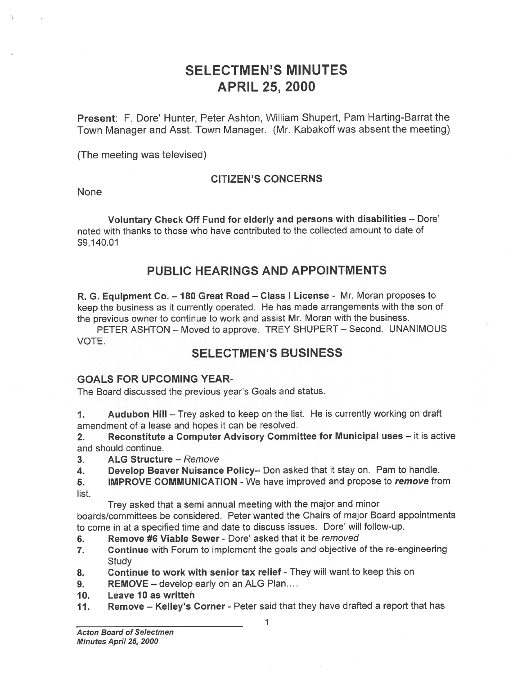# SELECTMEN'S MINUTES APRIL 25, 2000

Present: F. Dore' Hunter, Peter Ashton, William Shupert, Pam Harting-Barrat the Town Manager and Asst. Town Manager. (Mr. Kabakoff was absent the meeting)

(The meeting was televised)

### CITIZEN'S CONCERNS

None

Voluntary Check Off Fund for elderly and persons with disabilities — Dore' noted with thanks to those who have contributed to the collected amount to date of \$9,140.01

# PUBLIC HEARINGS AND APPOINTMENTS

R. G. Equipment Co. — 180 Great Road — Class <sup>I</sup> License - Mr. Moran proposes to keep the business as it currently operated. He has made arrangements with the son of the previous owner to continue to work and assist Mr. Moran with the business.

PETER ASHTON — Moved to approve. TREY SHUPERT — Second. UNANIMOUS VOTE.

## SELECTMEN'S BUSINESS

#### GOALS FOR UPCOMING YEAR-

The Board discussed the previous year's Goals and status.

1. Audubon Hill — Trey asked to keep on the list. He is currently working on draft amendment of <sup>a</sup> lease and hopes it can be resolved.

2. Reconstitute <sup>a</sup> Computer Advisory Committee for Municipal uses — it is active and should continue.

3. ALG Structure — Remove

4. Develop Beaver Nuisance Policy— Don asked that it stay on. Pam to handle.

5. IMPROVE COMMUNICATION - We have improved and propose to remove from list.

Trey asked that <sup>a</sup> semi annual meeting with the major and minor

boards/committees be considered. Peter wanted the Chairs of major Board appointments to come in at <sup>a</sup> specified time and date to discuss issues. Dore' will follow-up.

- 6. Remove #6 Viable Sewer Dore' asked that it be removed
- 7. Continue with Forum to implement the goals and objective of the re-engineering **Study**
- 8. Continue to work with senior tax relief They will want to keep this on
- 9. REMOVE develop early on an ALG Plan....
- 10. Leave 10 as written
- 11. Remove Kelley's Corner Peter said that they have drafted a report that has

 $\overline{1}$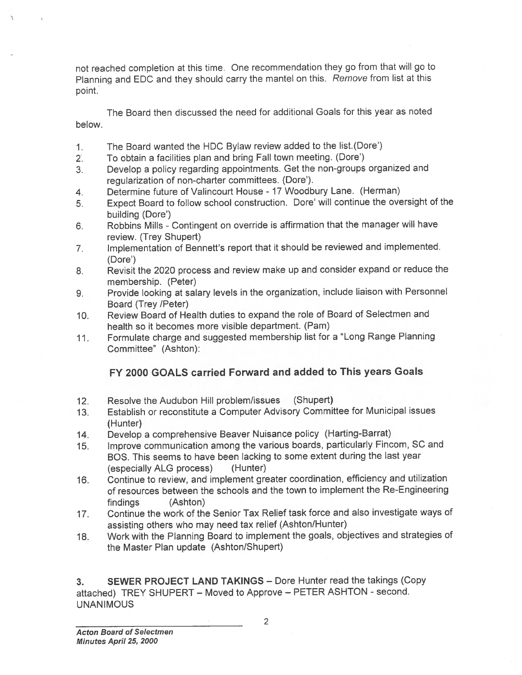not reached completion at this time. One recommendation they go from that will go to Planning and EDC and they should carry the mantel on this. Remove from list at this point.

The Board then discussed the need for additional Goals for this year as noted below.

- 1. The Board wanted the HDC Bylaw review added to the list(Dore')
- 2. To obtain <sup>a</sup> facilities <sup>p</sup>lan and bring Fall town meeting. (Dore')
- 3. Develop <sup>a</sup> policy regarding appointments. Get the non-groups organized and regularization of non-charter committees. (Dore').
- 4. Determine future of Valincourt House 17 Woodbury Lane. (Herman)
- 5. Expect Board to follow school construction. Dore' will continue the oversight of the building (Dore')
- 6. Robbins Mills -Contingent on override is affirmation that the manager will have review. (Trey Shupert)
- 7. Implementation of Bennett's repor<sup>t</sup> that it should be reviewed and implemented. (Dore')
- 8. Revisit the <sup>2020</sup> process and review make up and consider expan<sup>d</sup> or reduce the membership. (Peter)
- 9. Provide looking at salary levels in the organization, include liaison with Personnel Board (Trey /Peter)
- 10. Review Board of Health duties to expan<sup>d</sup> the role of Board of Selectmen and health so it becomes more visible department. (Pam)
- 11. Formulate charge and suggested membership list for <sup>a</sup> "Long Range Planning Committee" (Ashton):

## FY 2000 GOALS carried Forward and added to This years Goals

- 12. Resolve the Audubon Hill problem/issues (Shupert)
- 13. Establish or reconstitute <sup>a</sup> Computer Advisory Committee for Municipal issues (Hunter)
- 14. Develop <sup>a</sup> comprehensive Beaver Nuisance policy (Harting-Barrat)
- 15. Improve communication among the various boards, particularly Fincom, SC and BOS. This seems to have been lacking to some extent during the last year (especially ALG process) (Hunter)
- 16. Continue to review, and implement greater coordination, efficiency and utilization of resources between the schools and the town to implement the Re-Engineering findings (Ashton)
- 17. Continue the work of the Senior Tax Relief task force and also investigate ways of assisting others who may need tax relief (Ashton/Hunter)
- 18. Work with the Planning Board to implement the goals, objectives and strategies of the Master Plan update (Ashton/Shupert)

3. SEWER PROJECT LAND TAKINGS — Dore Hunter read the takings (Copy attached) TREY SHUPERT - Moved to Approve - PETER ASHTON - second. UNANIMOUS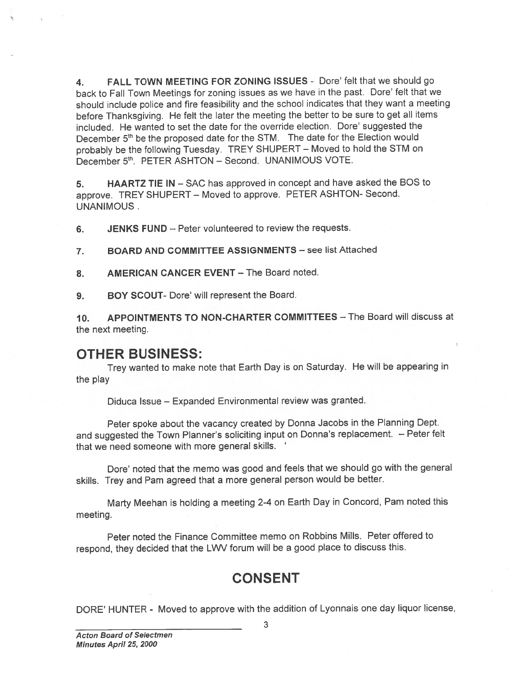4. FALL TOWN MEETING FOR ZONING ISSUES - Dore' felt that we should go back to Fall Town Meetings for zoning issues as we have in the past. Dore' felt that we should include police and fire feasibility and the school indicates that they want <sup>a</sup> meeting before Thanksgiving. He felt the later the meeting the better to be sure to ge<sup>t</sup> all items included. He wanted to set the date for the override election. Dore' suggested the December 5<sup>th</sup> be the proposed date for the STM. The date for the Election would probably be the following Tuesday. TREY SHUPERT — Moved to hold the STM on December 5th. PETER ASHTON - Second. UNANIMOUS VOTE.

5. HAARTZ TIE IN — SAC has approve<sup>d</sup> in concep<sup>t</sup> and have asked the BOS to approve. TREY SHUPERT — Moved to approve. PETER ASHTON- Second. UNANIMOUS.

6. JENKS FUND — Peter volunteered to review the requests.

7. BOARD AND COMMITTEE ASSIGNMENTS — see list Attached

8. AMERICAN CANCER EVENT - The Board noted.

9. BOY SCOUT- Dore' will represen<sup>t</sup> the Board.

10. APPOINTMENTS TO NON-CHARTER COMMITTEES — The Board will discuss at the next meeting.

## OTHER BUSINESS:

Trey wanted to make note that Earth Day is on Saturday. He will be appearing in the play

Diduca Issue — Expanded Environmental review was granted.

Peter spoke about the vacancy created by Donna Jacobs in the Planning Dept. and suggested the Town Planner's soliciting input on Donna's replacement. — Peter felt that we need someone with more general skills.

Dore' noted that the memo was goo<sup>d</sup> and feels that we should go with the genera<sup>l</sup> skills. Trey and Pam agree<sup>d</sup> that <sup>a</sup> more genera<sup>l</sup> person would be better.

Marty Meehan is holding <sup>a</sup> meeting 2-4 on Earth Day in Concord, Pam noted this meeting.

Peter noted the Finance Committee memo on Robbins Mills. Peter offered to respond, they decided that the LVVV forum will be a good place to discuss this.

# CONSENT

DORE' HUNTER - Moved to approve with the addition of Lyonnais one day liquor license,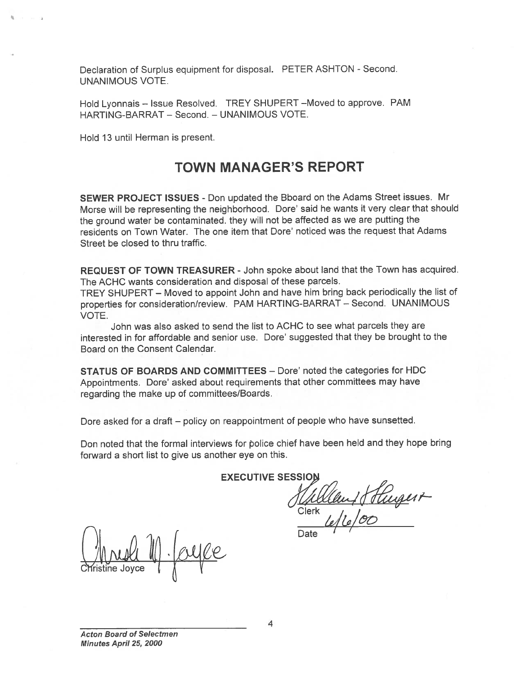Declaration of Surplus equipment for disposal. PETER ASHTON - Second. UNANIMOUS VOTE.

Hold Lyonnais — Issue Resolved. TREY SHUPERT —Moved to approve. PAM HARTING-BARRAT - Second. - UNANIMOUS VOTE.

Hold 13 until Herman is present.

# TOWN MANAGER'S REPORT

SEWER PROJECT ISSUES - Don updated the Bboard on the Adams Street issues. Mr Morse will be representing the neighborhood. Dore' said he wants it very clear that should the groun<sup>d</sup> water be contaminated, they will not be affected as we are putting the residents on Town Water. The one item that Dore' noticed was the reques<sup>t</sup> that Adams Street be closed to thru traffic.

REQUEST OF TOWN TREASURER - John spoke about land that the Town has acquired. The ACHC wants consideration and disposal of these parcels.

TREY SHUPERT — Moved to appoint John and have him bring back periodically the list of properties for consideration/review. PAM HARTING-BARRAT — Second. UNANIMOUS VOTE.

John was also asked to send the list to ACHC to see what parcels they are interested in for affordable and senior use. Dore' suggested that they be brought to the Board on the Consent Calendar.

STATUS OF BOARDS AND COMMITTEES — Dore' noted the categories for HDC Appointments. Dore' asked about requirements that other committees may have regarding the make up of committees/Boards.

Dore asked for <sup>a</sup> draft — policy on reappointment of people who have sunsetted.

Don noted that the formal interviews for police chief have been held and they hope bring forward <sup>a</sup> short list to give us another eye on this.

**EXECUTIVE SESSIC** 

18 Hugert Clerk<br>Clerk<br>L./

Date

Cĭristine Joyce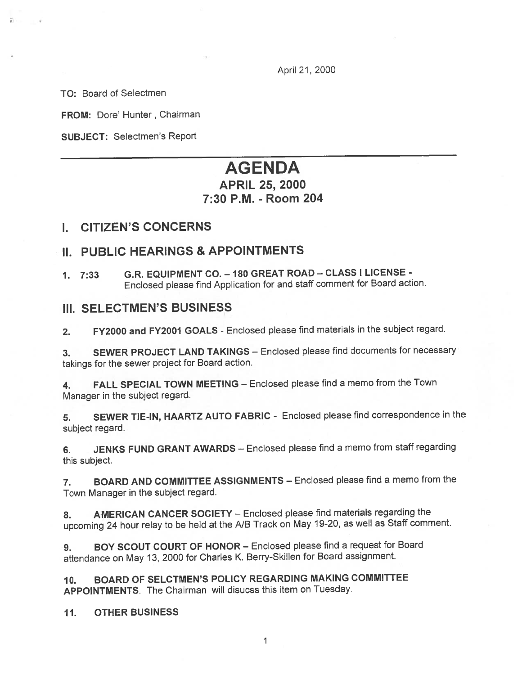April 21, 2000

TO: Board of Selectmen

FROM: Dore' Hunter, Chairman

SUBJECT: Selectmen's Report

# AGENDA

# APRIL 25, 2000 7:30 P.M. -Room 204

### I. CITIZEN'S CONCERNS

### II. PUBLIC HEARINGS & APPOINTMENTS

1. 7:33 G.R. EQUIPMENT CO. — <sup>180</sup> GREAT ROAD — CLASS <sup>I</sup> LICENSE - Enclosed <sup>p</sup>lease find Application for and staff comment for Board action.

### **III. SELECTMEN'S BUSINESS**

2. FY2000 and FY2001 GOALS - Enclosed please find materials in the subject regard.

3. SEWER PROJECT LAND TAKINGS — Enclosed <sup>p</sup>lease find documents for necessary takings for the sewer project for Board action.

4. FALL SPECIAL TOWN MEETING — Enclosed <sup>p</sup>lease find <sup>a</sup> memo from the Town Manager in the subject regard.

5. SEWER TIE-IN, HAARTZ AUTO FABRIC - Enclosed <sup>p</sup>lease find correspondence in the subject regard.

6. JENKS FUND GRANT AWARDS — Enclosed <sup>p</sup>lease find <sup>a</sup> memo from staff regarding this subject.

7. BOARD AND COMMITTEE ASSIGNMENTS — Enclosed <sup>p</sup>lease find <sup>a</sup> memo from the Town Manager in the subject regard.

8. AMERICAN CANCER SOCIETY - Enclosed please find materials regarding the upcoming <sup>24</sup> hour relay to be held at the NB Track on May 19-20, as well as Staff comment.

9. BOY SCOUT COURT OF HONOR — Enclosed <sup>p</sup>lease find <sup>a</sup> reques<sup>t</sup> for Board attendance on May 13, <sup>2000</sup> for Charles K. Berry-Skillen for Board assignment.

JO. BOARD OF SELCTMEN'S POLICY REGARDING MAKING COMMITTEE APPOINTMENTS. The Chairman will disucss this item on Tuesday.

11. OTHER BUSINESS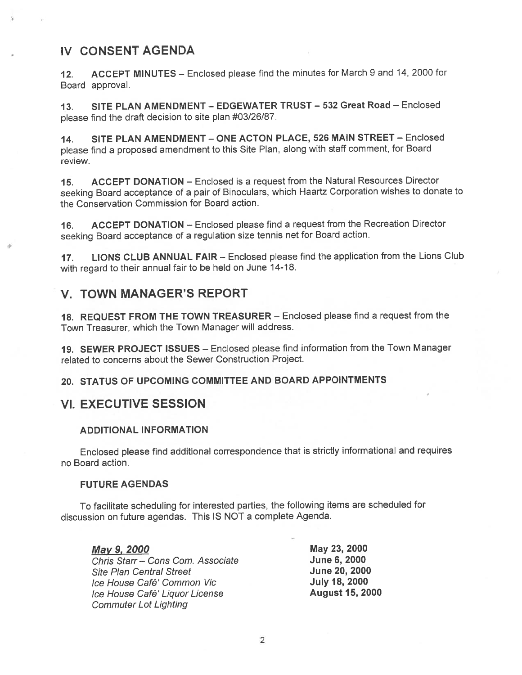## IV CONSENT AGENDA

12. ACCEPT MINUTES – Enclosed please find the minutes for March 9 and 14, 2000 for Board approval.

13. SITE PLAN AMENDMENT — EDGEWATER TRUST — 532 Great Road — Enclosed <sup>p</sup>lease find the draft decision to site <sup>p</sup>lan #03/26/87.

14. SITE PLAN AMENDMENT — ONE ACTON PLACE, 526 MAIN STREET — Enclosed <sup>p</sup>lease find <sup>a</sup> propose<sup>d</sup> amendment to this Site Plan, along with staff comment, for Board review.

15. ACCEPT DONATION — Enclosed is <sup>a</sup> reques<sup>t</sup> from the Natural Resources Director seeking Board acceptance of <sup>a</sup> pair of Binoculars, which Haartz Corporation wishes to donate to the Conservation Commission for Board action.

16. ACCEPT DONATION — Enclosed <sup>p</sup>lease find <sup>a</sup> reques<sup>t</sup> from the Recreation Director seeking Board acceptance of <sup>a</sup> regulation size tennis net for Board action.

17. LIONS CLUB ANNUAL FAIR — Enclosed <sup>p</sup>lease find the application from the Lions Club with regard to their annual fair to be held on June 14-18.

### V. TOWN MANAGER'S REPORT

18. REQUEST FROM THE TOWN TREASURER — Enclosed <sup>p</sup>lease find <sup>a</sup> reques<sup>t</sup> from the Town Treasurer, which the Town Manager will address.

19. SEWER PROJECT ISSUES — Enclosed <sup>p</sup>lease find information from the Town Manager related to concerns about the Sewer Construction Project.

20. STATUS OF UPCOMING COMMITTEE AND BOARD APPOINTMENTS

### VI. EXECUTIVE SESSION

#### **ADDITIONAL INFORMATION**

Enclosed <sup>p</sup>lease find additional correspondence that is strictly informational and requires no Board action.

#### FUTURE AGENDAS

To facilitate scheduling for interested parties, the following items are scheduled for discussion on future agendas. This IS NOT <sup>a</sup> complete Agenda.

| May 9, 2000                       | May 23, 2000           |
|-----------------------------------|------------------------|
| Chris Starr - Cons Com. Associate | <b>June 6, 2000</b>    |
| <b>Site Plan Central Street</b>   | June 20, 2000          |
| Ice House Café' Common Vic        | <b>July 18, 2000</b>   |
| Ice House Café' Liquor License    | <b>August 15, 2000</b> |
| <b>Commuter Lot Lighting</b>      |                        |